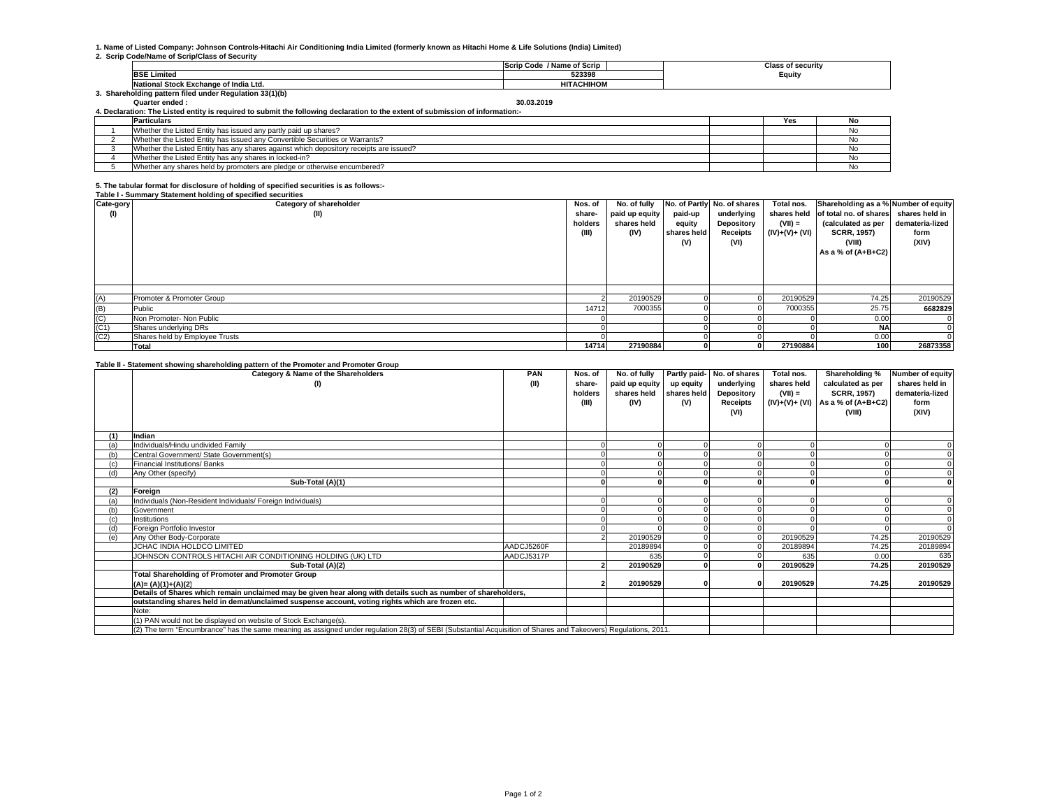# **1. Name of Listed Company: Johnson Controls-Hitachi Air Conditioning India Limited (formerly known as Hitachi Home & Life Solutions (India) Limited)**

#### **2. Scrip Code/Name of Scrip/Class of Security**

|                                                        | / Name of Scrip<br><b>Scrip Code</b> | Class of securitv |
|--------------------------------------------------------|--------------------------------------|-------------------|
| BSF '<br>∟Limited ∟                                    | 523398                               | Equity            |
| <b>INational Stock Exchange of India Ltd.</b>          | <b>HITACHIHOM</b>                    |                   |
| . Shareholding pattern filed under Regulation 33(1)(b) |                                      |                   |

30.03.2019

**Quarter ended : 30.03.20194. Declaration: The Listed entity is required to submit the following declaration to the extent of submission of information:-**

| . Pecialation, The Elsied Chilly 13 Feddied to Submit the following geolaration to the extent of Submission of Information. |                                                                                        |  |     |    |  |  |  |
|-----------------------------------------------------------------------------------------------------------------------------|----------------------------------------------------------------------------------------|--|-----|----|--|--|--|
|                                                                                                                             | <b>Particulars</b>                                                                     |  | Yes | NO |  |  |  |
|                                                                                                                             | Whether the Listed Entity has issued any partly paid up shares?                        |  |     |    |  |  |  |
|                                                                                                                             | Whether the Listed Entity has issued any Convertible Securities or Warrants?           |  |     |    |  |  |  |
|                                                                                                                             | Whether the Listed Entity has any shares against which depository receipts are issued? |  |     |    |  |  |  |
|                                                                                                                             | Whether the Listed Entity has any shares in locked-in?                                 |  |     |    |  |  |  |
|                                                                                                                             | Whether any shares held by promoters are pledge or otherwise encumbered?               |  |     |    |  |  |  |

## **5. The tabular format for disclosure of holding of specified securities is as follows:-**

#### **Table I - Summary Statement holding of specified securities**

| Cate-gory | Category of shareholder        | Nos. of | No. of fully   |             | No. of Partly No. of shares | Total nos.     | Shareholding as a % Number of equity              |                 |
|-----------|--------------------------------|---------|----------------|-------------|-----------------------------|----------------|---------------------------------------------------|-----------------|
| (1)       | (II)                           | share-  | paid up equity | paid-up     | underlying                  |                | shares held of total no. of shares shares held in |                 |
|           |                                | holders | shares held    | equity      | Depository                  | $(VII) =$      | (calculated as per                                | demateria-lized |
|           |                                | (III)   | (IV)           | shares held | Receipts                    | $(IV)+(V)+(V)$ | <b>SCRR, 1957)</b>                                | form            |
|           |                                |         |                | (V)         | (VI)                        |                | (VIII)                                            | (XIV)           |
|           |                                |         |                |             |                             |                | As a % of $(A+B+C2)$                              |                 |
|           |                                |         |                |             |                             |                |                                                   |                 |
|           |                                |         |                |             |                             |                |                                                   |                 |
|           |                                |         |                |             |                             |                |                                                   |                 |
|           |                                |         |                |             |                             |                |                                                   |                 |
| (A)       | Promoter & Promoter Group      |         | 20190529       |             |                             | 20190529       | 74.25                                             | 20190529        |
| (B)       | Public                         | 14712   | 7000355        |             |                             | 7000355        | 25.75                                             | 6682829         |
| (C)       | Non Promoter- Non Public       |         |                |             |                             |                | 0.00                                              |                 |
| (C1)      | Shares underlying DRs          |         |                |             |                             |                | <b>NA</b>                                         |                 |
| (C2)      | Shares held by Employee Trusts |         |                |             |                             |                | 0.00                                              |                 |
|           | <b>Total</b>                   | 14714   | 27190884       |             |                             | 27190884       | 100                                               | 26873358        |

#### **Table II - Statement showing shareholding pattern of the Promoter and Promoter Group**

|     | Category & Name of the Shareholders                                                                                                                             | PAN        | Nos. of | No. of fully   |             | Partly paid- No. of shares | Total nos.  | Shareholding %                    | Number of equity |
|-----|-----------------------------------------------------------------------------------------------------------------------------------------------------------------|------------|---------|----------------|-------------|----------------------------|-------------|-----------------------------------|------------------|
|     | (1)                                                                                                                                                             | (II)       | share-  | paid up equity | up equity   | underlying                 | shares held | calculated as per                 | shares held in   |
|     |                                                                                                                                                                 |            | holders | shares held    | shares held | Depository                 | $(VII) =$   | <b>SCRR, 1957)</b>                | demateria-lized  |
|     |                                                                                                                                                                 |            | (III)   | (IV)           | (V)         | Receipts                   |             | (IV)+(V)+ (VI) As a % of (A+B+C2) | form             |
|     |                                                                                                                                                                 |            |         |                |             | (VI)                       |             | (VIII)                            | (XIV)            |
|     |                                                                                                                                                                 |            |         |                |             |                            |             |                                   |                  |
|     | Indian                                                                                                                                                          |            |         |                |             |                            |             |                                   |                  |
|     | Individuals/Hindu undivided Family                                                                                                                              |            |         |                |             |                            |             |                                   |                  |
|     | Central Government/ State Government(s)                                                                                                                         |            |         |                |             |                            |             |                                   |                  |
|     | Financial Institutions/ Banks                                                                                                                                   |            |         |                |             |                            |             |                                   |                  |
|     | Any Other (specify)                                                                                                                                             |            |         |                |             |                            |             |                                   |                  |
|     | Sub-Total (A)(1)                                                                                                                                                |            |         |                |             |                            |             |                                   |                  |
| (2) | Foreign                                                                                                                                                         |            |         |                |             |                            |             |                                   |                  |
|     | Individuals (Non-Resident Individuals/ Foreign Individuals)                                                                                                     |            |         |                |             |                            |             |                                   |                  |
|     | Government                                                                                                                                                      |            |         |                |             |                            |             |                                   |                  |
|     | Institutions                                                                                                                                                    |            |         |                |             |                            |             |                                   |                  |
|     | Foreign Portfolio Investor                                                                                                                                      |            |         |                |             |                            |             |                                   |                  |
|     | Any Other Body-Corporate                                                                                                                                        |            |         | 20190529       |             |                            | 20190529    | 74.25                             | 20190529         |
|     | JCHAC INDIA HOLDCO LIMITED                                                                                                                                      | AADCJ5260F |         | 20189894       |             |                            | 20189894    | 74.25                             | 20189894         |
|     | JOHNSON CONTROLS HITACHI AIR CONDITIONING HOLDING (UK) LTD                                                                                                      | AADCJ5317P |         | 635            |             |                            | 635         | 0.00                              | 635              |
|     | Sub-Total (A)(2)                                                                                                                                                |            |         | 20190529       |             |                            | 20190529    | 74.25                             | 20190529         |
|     | Total Shareholding of Promoter and Promoter Group                                                                                                               |            |         |                |             |                            |             |                                   |                  |
|     | $(A)=(A)(1)+(A)(2)$                                                                                                                                             |            |         | 20190529       |             |                            | 20190529    | 74.25                             | 20190529         |
|     | Details of Shares which remain unclaimed may be given hear along with details such as number of shareholders,                                                   |            |         |                |             |                            |             |                                   |                  |
|     | outstanding shares held in demat/unclaimed suspense account, voting rights which are frozen etc.                                                                |            |         |                |             |                            |             |                                   |                  |
|     | Note:                                                                                                                                                           |            |         |                |             |                            |             |                                   |                  |
|     | (1) PAN would not be displayed on website of Stock Exchange(s).                                                                                                 |            |         |                |             |                            |             |                                   |                  |
|     | (2) The term "Encumbrance" has the same meaning as assigned under regulation 28(3) of SEBI (Substantial Acquisition of Shares and Takeovers) Regulations, 2011. |            |         |                |             |                            |             |                                   |                  |